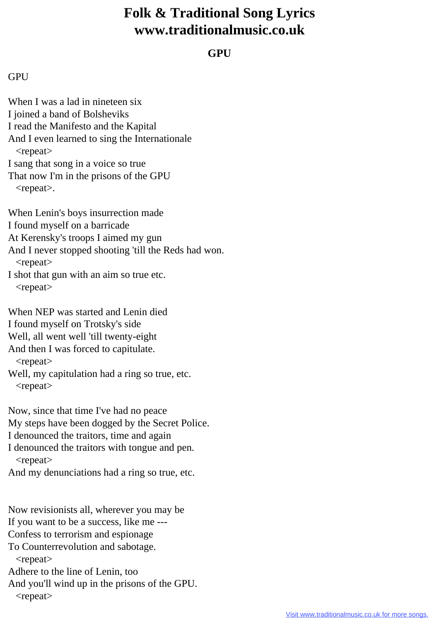## **Folk & Traditional Song Lyrics www.traditionalmusic.co.uk**

## **GPU**

## **GPU**

When I was a lad in nineteen six I joined a band of Bolsheviks I read the Manifesto and the Kapital And I even learned to sing the Internationale <repeat> I sang that song in a voice so true That now I'm in the prisons of the GPU <repeat>. When Lenin's boys insurrection made I found myself on a barricade At Kerensky's troops I aimed my gun And I never stopped shooting 'till the Reds had won. <repeat> I shot that gun with an aim so true etc. <repeat> When NEP was started and Lenin died

I found myself on Trotsky's side

Well, all went well 'till twenty-eight

And then I was forced to capitulate.

<repeat>

Well, my capitulation had a ring so true, etc. <repeat>

Now, since that time I've had no peace

My steps have been dogged by the Secret Police.

I denounced the traitors, time and again

I denounced the traitors with tongue and pen. <repeat>

And my denunciations had a ring so true, etc.

Now revisionists all, wherever you may be If you want to be a success, like me --- Confess to terrorism and espionage

To Counterrevolution and sabotage. <repeat>

Adhere to the line of Lenin, too

And you'll wind up in the prisons of the GPU.

<repeat>